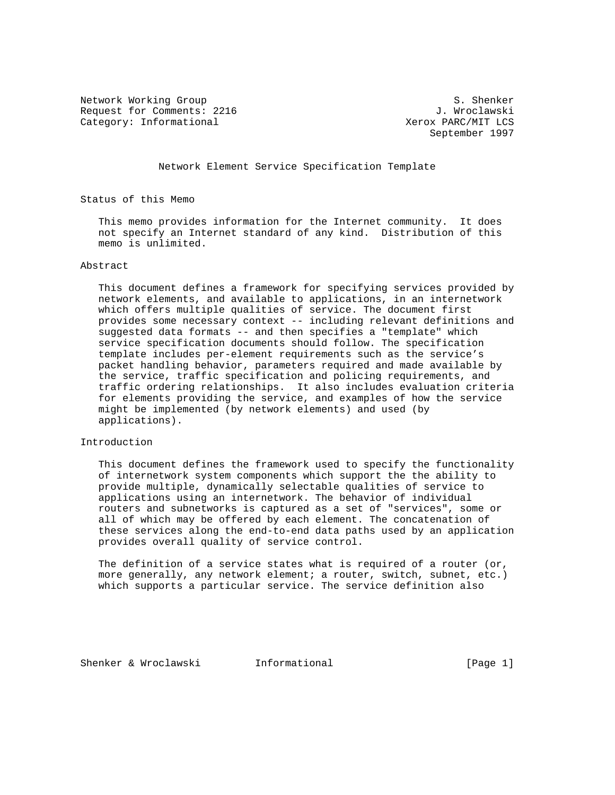Network Working Group<br>Request for Comments: 2216 1. Wroclawski Request for Comments: 2216 Category: Informational  $X$ erox PARC/MIT LCS

September 1997

Network Element Service Specification Template

Status of this Memo

 This memo provides information for the Internet community. It does not specify an Internet standard of any kind. Distribution of this memo is unlimited.

### Abstract

 This document defines a framework for specifying services provided by network elements, and available to applications, in an internetwork which offers multiple qualities of service. The document first provides some necessary context -- including relevant definitions and suggested data formats -- and then specifies a "template" which service specification documents should follow. The specification template includes per-element requirements such as the service's packet handling behavior, parameters required and made available by the service, traffic specification and policing requirements, and traffic ordering relationships. It also includes evaluation criteria for elements providing the service, and examples of how the service might be implemented (by network elements) and used (by applications).

## Introduction

 This document defines the framework used to specify the functionality of internetwork system components which support the the ability to provide multiple, dynamically selectable qualities of service to applications using an internetwork. The behavior of individual routers and subnetworks is captured as a set of "services", some or all of which may be offered by each element. The concatenation of these services along the end-to-end data paths used by an application provides overall quality of service control.

The definition of a service states what is required of a router (or, more generally, any network element; a router, switch, subnet, etc.) which supports a particular service. The service definition also

Shenker & Wroclawski 1nformational (Page 1)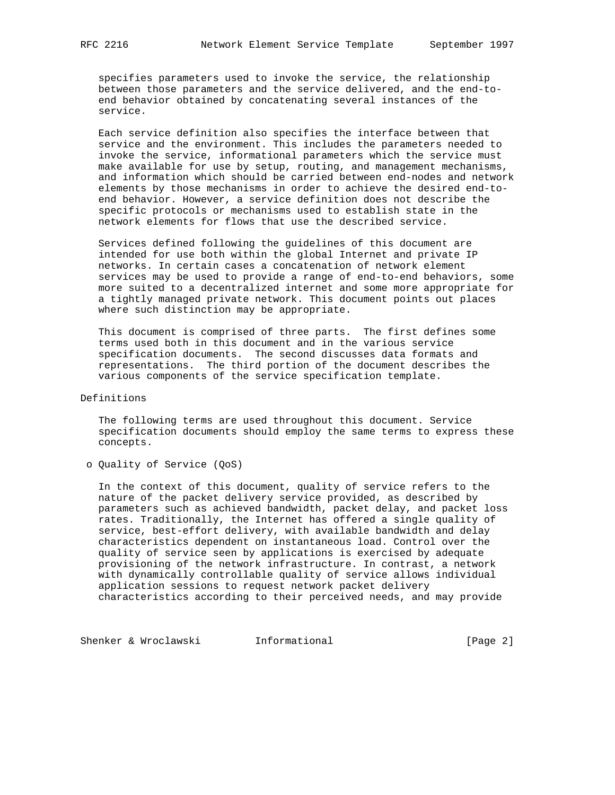specifies parameters used to invoke the service, the relationship between those parameters and the service delivered, and the end-to end behavior obtained by concatenating several instances of the service.

 Each service definition also specifies the interface between that service and the environment. This includes the parameters needed to invoke the service, informational parameters which the service must make available for use by setup, routing, and management mechanisms, and information which should be carried between end-nodes and network elements by those mechanisms in order to achieve the desired end-to end behavior. However, a service definition does not describe the specific protocols or mechanisms used to establish state in the network elements for flows that use the described service.

 Services defined following the guidelines of this document are intended for use both within the global Internet and private IP networks. In certain cases a concatenation of network element services may be used to provide a range of end-to-end behaviors, some more suited to a decentralized internet and some more appropriate for a tightly managed private network. This document points out places where such distinction may be appropriate.

 This document is comprised of three parts. The first defines some terms used both in this document and in the various service specification documents. The second discusses data formats and representations. The third portion of the document describes the various components of the service specification template.

Definitions

 The following terms are used throughout this document. Service specification documents should employ the same terms to express these concepts.

o Quality of Service (QoS)

 In the context of this document, quality of service refers to the nature of the packet delivery service provided, as described by parameters such as achieved bandwidth, packet delay, and packet loss rates. Traditionally, the Internet has offered a single quality of service, best-effort delivery, with available bandwidth and delay characteristics dependent on instantaneous load. Control over the quality of service seen by applications is exercised by adequate provisioning of the network infrastructure. In contrast, a network with dynamically controllable quality of service allows individual application sessions to request network packet delivery characteristics according to their perceived needs, and may provide

Shenker & Wroclawski **Informational** [Page 2]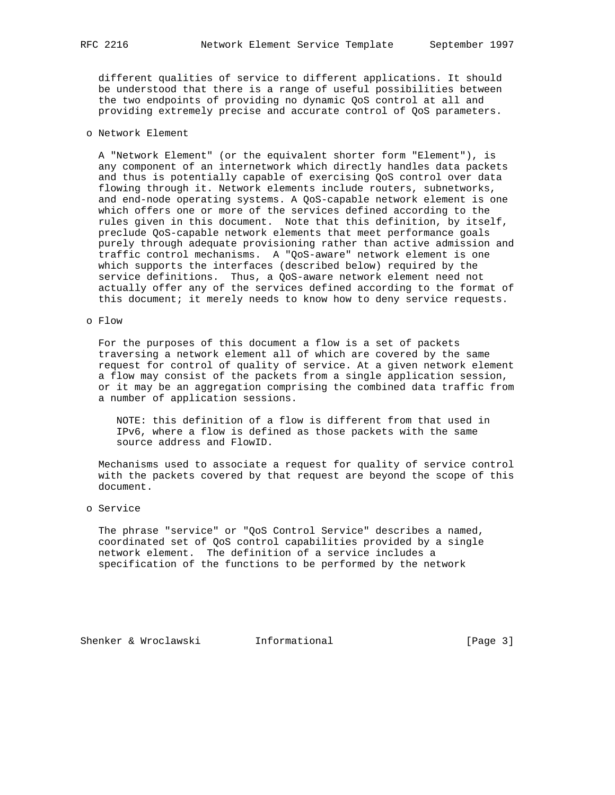different qualities of service to different applications. It should be understood that there is a range of useful possibilities between the two endpoints of providing no dynamic QoS control at all and providing extremely precise and accurate control of QoS parameters.

## o Network Element

 A "Network Element" (or the equivalent shorter form "Element"), is any component of an internetwork which directly handles data packets and thus is potentially capable of exercising QoS control over data flowing through it. Network elements include routers, subnetworks, and end-node operating systems. A QoS-capable network element is one which offers one or more of the services defined according to the rules given in this document. Note that this definition, by itself, preclude QoS-capable network elements that meet performance goals purely through adequate provisioning rather than active admission and traffic control mechanisms. A "QoS-aware" network element is one which supports the interfaces (described below) required by the service definitions. Thus, a QoS-aware network element need not actually offer any of the services defined according to the format of this document; it merely needs to know how to deny service requests.

### o Flow

 For the purposes of this document a flow is a set of packets traversing a network element all of which are covered by the same request for control of quality of service. At a given network element a flow may consist of the packets from a single application session, or it may be an aggregation comprising the combined data traffic from a number of application sessions.

 NOTE: this definition of a flow is different from that used in IPv6, where a flow is defined as those packets with the same source address and FlowID.

 Mechanisms used to associate a request for quality of service control with the packets covered by that request are beyond the scope of this document.

## o Service

 The phrase "service" or "QoS Control Service" describes a named, coordinated set of QoS control capabilities provided by a single network element. The definition of a service includes a specification of the functions to be performed by the network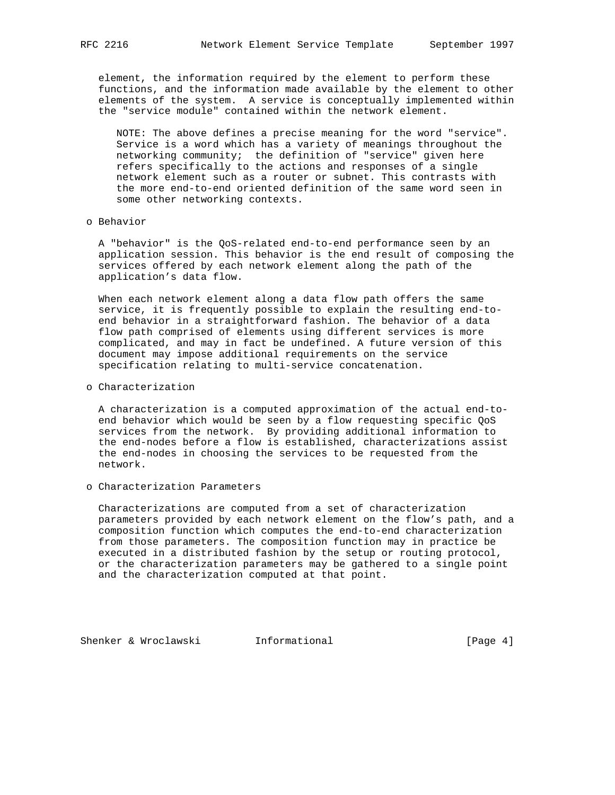element, the information required by the element to perform these functions, and the information made available by the element to other elements of the system. A service is conceptually implemented within the "service module" contained within the network element.

 NOTE: The above defines a precise meaning for the word "service". Service is a word which has a variety of meanings throughout the networking community; the definition of "service" given here refers specifically to the actions and responses of a single network element such as a router or subnet. This contrasts with the more end-to-end oriented definition of the same word seen in some other networking contexts.

#### o Behavior

 A "behavior" is the QoS-related end-to-end performance seen by an application session. This behavior is the end result of composing the services offered by each network element along the path of the application's data flow.

 When each network element along a data flow path offers the same service, it is frequently possible to explain the resulting end-to end behavior in a straightforward fashion. The behavior of a data flow path comprised of elements using different services is more complicated, and may in fact be undefined. A future version of this document may impose additional requirements on the service specification relating to multi-service concatenation.

o Characterization

 A characterization is a computed approximation of the actual end-to end behavior which would be seen by a flow requesting specific QoS services from the network. By providing additional information to the end-nodes before a flow is established, characterizations assist the end-nodes in choosing the services to be requested from the network.

o Characterization Parameters

 Characterizations are computed from a set of characterization parameters provided by each network element on the flow's path, and a composition function which computes the end-to-end characterization from those parameters. The composition function may in practice be executed in a distributed fashion by the setup or routing protocol, or the characterization parameters may be gathered to a single point and the characterization computed at that point.

Shenker & Wroclawski and Informational (Page 4)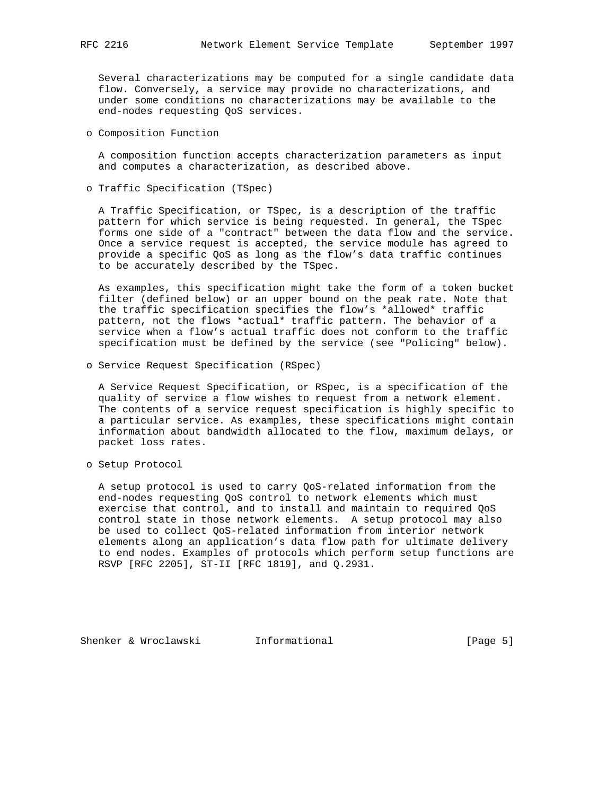Several characterizations may be computed for a single candidate data flow. Conversely, a service may provide no characterizations, and under some conditions no characterizations may be available to the end-nodes requesting QoS services.

o Composition Function

 A composition function accepts characterization parameters as input and computes a characterization, as described above.

o Traffic Specification (TSpec)

 A Traffic Specification, or TSpec, is a description of the traffic pattern for which service is being requested. In general, the TSpec forms one side of a "contract" between the data flow and the service. Once a service request is accepted, the service module has agreed to provide a specific QoS as long as the flow's data traffic continues to be accurately described by the TSpec.

 As examples, this specification might take the form of a token bucket filter (defined below) or an upper bound on the peak rate. Note that the traffic specification specifies the flow's \*allowed\* traffic pattern, not the flows \*actual\* traffic pattern. The behavior of a service when a flow's actual traffic does not conform to the traffic specification must be defined by the service (see "Policing" below).

o Service Request Specification (RSpec)

 A Service Request Specification, or RSpec, is a specification of the quality of service a flow wishes to request from a network element. The contents of a service request specification is highly specific to a particular service. As examples, these specifications might contain information about bandwidth allocated to the flow, maximum delays, or packet loss rates.

o Setup Protocol

 A setup protocol is used to carry QoS-related information from the end-nodes requesting QoS control to network elements which must exercise that control, and to install and maintain to required QoS control state in those network elements. A setup protocol may also be used to collect QoS-related information from interior network elements along an application's data flow path for ultimate delivery to end nodes. Examples of protocols which perform setup functions are RSVP [RFC 2205], ST-II [RFC 1819], and Q.2931.

Shenker & Wroclawski 1nformational (Page 5)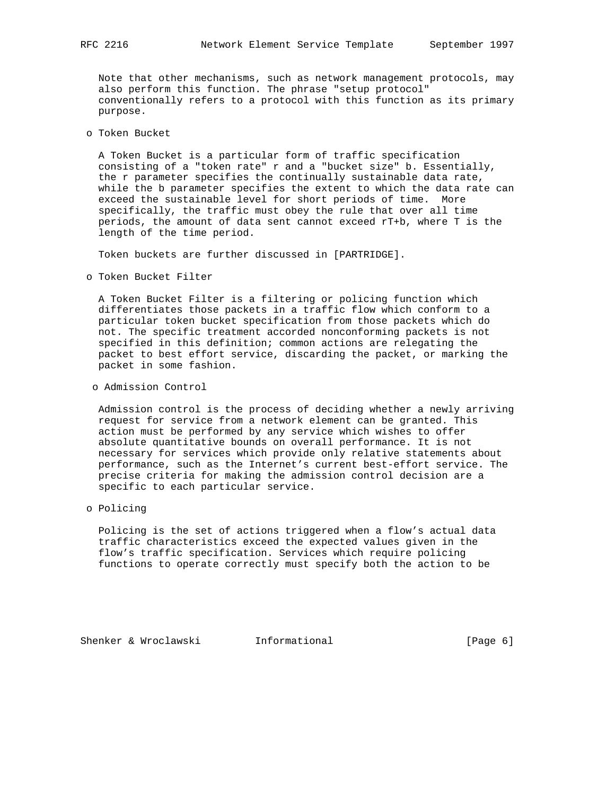Note that other mechanisms, such as network management protocols, may also perform this function. The phrase "setup protocol" conventionally refers to a protocol with this function as its primary purpose.

o Token Bucket

 A Token Bucket is a particular form of traffic specification consisting of a "token rate" r and a "bucket size" b. Essentially, the r parameter specifies the continually sustainable data rate, while the b parameter specifies the extent to which the data rate can exceed the sustainable level for short periods of time. More specifically, the traffic must obey the rule that over all time periods, the amount of data sent cannot exceed rT+b, where T is the length of the time period.

Token buckets are further discussed in [PARTRIDGE].

o Token Bucket Filter

 A Token Bucket Filter is a filtering or policing function which differentiates those packets in a traffic flow which conform to a particular token bucket specification from those packets which do not. The specific treatment accorded nonconforming packets is not specified in this definition; common actions are relegating the packet to best effort service, discarding the packet, or marking the packet in some fashion.

o Admission Control

 Admission control is the process of deciding whether a newly arriving request for service from a network element can be granted. This action must be performed by any service which wishes to offer absolute quantitative bounds on overall performance. It is not necessary for services which provide only relative statements about performance, such as the Internet's current best-effort service. The precise criteria for making the admission control decision are a specific to each particular service.

o Policing

 Policing is the set of actions triggered when a flow's actual data traffic characteristics exceed the expected values given in the flow's traffic specification. Services which require policing functions to operate correctly must specify both the action to be

Shenker & Wroclawski and Informational (Page 6)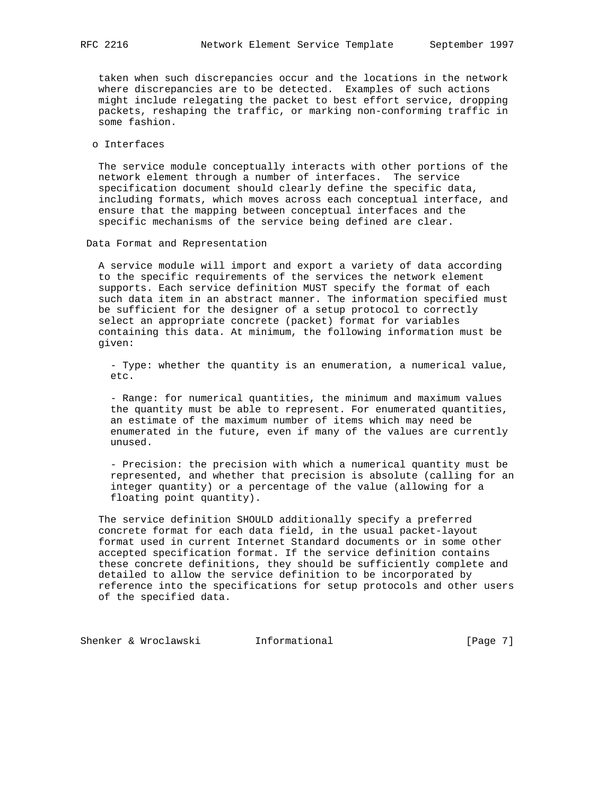taken when such discrepancies occur and the locations in the network where discrepancies are to be detected. Examples of such actions might include relegating the packet to best effort service, dropping packets, reshaping the traffic, or marking non-conforming traffic in some fashion.

o Interfaces

 The service module conceptually interacts with other portions of the network element through a number of interfaces. The service specification document should clearly define the specific data, including formats, which moves across each conceptual interface, and ensure that the mapping between conceptual interfaces and the specific mechanisms of the service being defined are clear.

Data Format and Representation

 A service module will import and export a variety of data according to the specific requirements of the services the network element supports. Each service definition MUST specify the format of each such data item in an abstract manner. The information specified must be sufficient for the designer of a setup protocol to correctly select an appropriate concrete (packet) format for variables containing this data. At minimum, the following information must be given:

 - Type: whether the quantity is an enumeration, a numerical value, etc.

 - Range: for numerical quantities, the minimum and maximum values the quantity must be able to represent. For enumerated quantities, an estimate of the maximum number of items which may need be enumerated in the future, even if many of the values are currently unused.

 - Precision: the precision with which a numerical quantity must be represented, and whether that precision is absolute (calling for an integer quantity) or a percentage of the value (allowing for a floating point quantity).

 The service definition SHOULD additionally specify a preferred concrete format for each data field, in the usual packet-layout format used in current Internet Standard documents or in some other accepted specification format. If the service definition contains these concrete definitions, they should be sufficiently complete and detailed to allow the service definition to be incorporated by reference into the specifications for setup protocols and other users of the specified data.

Shenker & Wroclawski and Informational (Page 7)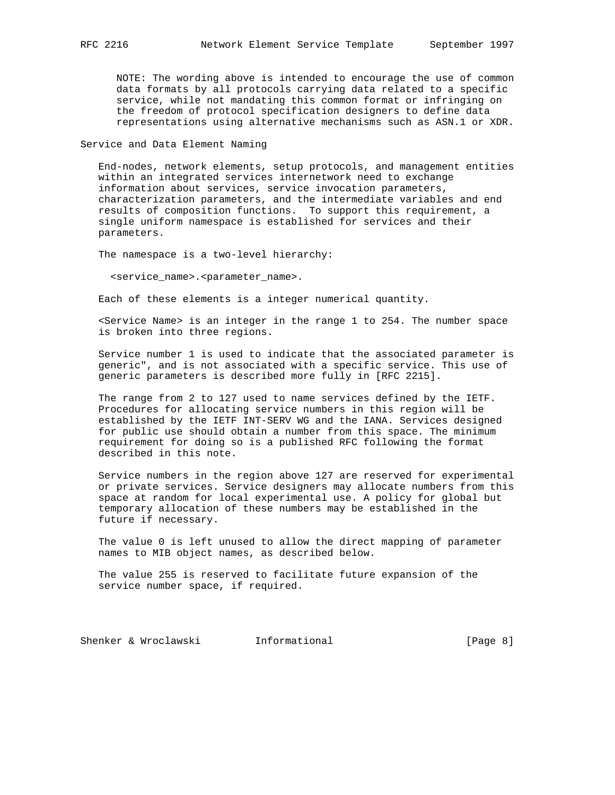NOTE: The wording above is intended to encourage the use of common data formats by all protocols carrying data related to a specific service, while not mandating this common format or infringing on the freedom of protocol specification designers to define data representations using alternative mechanisms such as ASN.1 or XDR.

Service and Data Element Naming

 End-nodes, network elements, setup protocols, and management entities within an integrated services internetwork need to exchange information about services, service invocation parameters, characterization parameters, and the intermediate variables and end results of composition functions. To support this requirement, a single uniform namespace is established for services and their parameters.

The namespace is a two-level hierarchy:

<service\_name>.<parameter\_name>.

Each of these elements is a integer numerical quantity.

 <Service Name> is an integer in the range 1 to 254. The number space is broken into three regions.

 Service number 1 is used to indicate that the associated parameter is generic", and is not associated with a specific service. This use of generic parameters is described more fully in [RFC 2215].

 The range from 2 to 127 used to name services defined by the IETF. Procedures for allocating service numbers in this region will be established by the IETF INT-SERV WG and the IANA. Services designed for public use should obtain a number from this space. The minimum requirement for doing so is a published RFC following the format described in this note.

 Service numbers in the region above 127 are reserved for experimental or private services. Service designers may allocate numbers from this space at random for local experimental use. A policy for global but temporary allocation of these numbers may be established in the future if necessary.

 The value 0 is left unused to allow the direct mapping of parameter names to MIB object names, as described below.

 The value 255 is reserved to facilitate future expansion of the service number space, if required.

Shenker & Wroclawski and Informational (Page 8)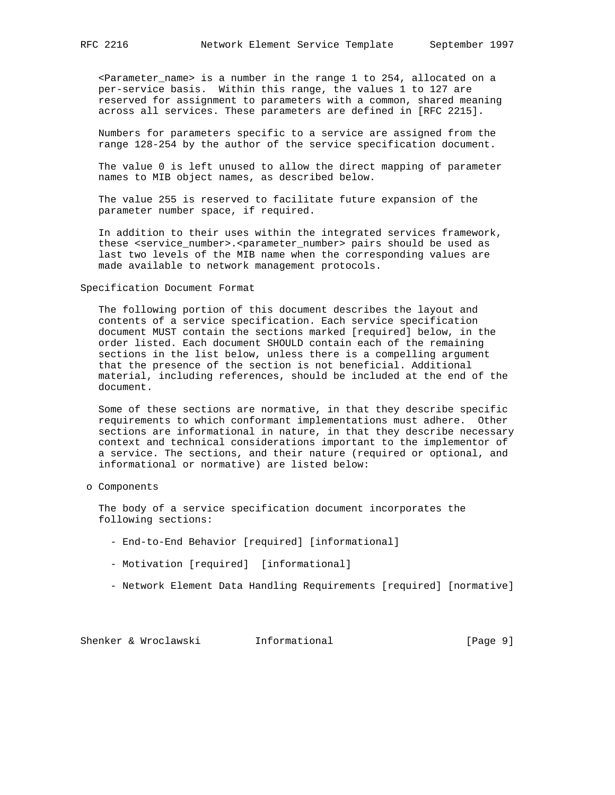<Parameter\_name> is a number in the range 1 to 254, allocated on a per-service basis. Within this range, the values 1 to 127 are reserved for assignment to parameters with a common, shared meaning across all services. These parameters are defined in [RFC 2215].

 Numbers for parameters specific to a service are assigned from the range 128-254 by the author of the service specification document.

 The value 0 is left unused to allow the direct mapping of parameter names to MIB object names, as described below.

 The value 255 is reserved to facilitate future expansion of the parameter number space, if required.

 In addition to their uses within the integrated services framework, these <service number>.<parameter number> pairs should be used as last two levels of the MIB name when the corresponding values are made available to network management protocols.

Specification Document Format

 The following portion of this document describes the layout and contents of a service specification. Each service specification document MUST contain the sections marked [required] below, in the order listed. Each document SHOULD contain each of the remaining sections in the list below, unless there is a compelling argument that the presence of the section is not beneficial. Additional material, including references, should be included at the end of the document.

 Some of these sections are normative, in that they describe specific requirements to which conformant implementations must adhere. Other sections are informational in nature, in that they describe necessary context and technical considerations important to the implementor of a service. The sections, and their nature (required or optional, and informational or normative) are listed below:

o Components

 The body of a service specification document incorporates the following sections:

- End-to-End Behavior [required] [informational]
- Motivation [required] [informational]
- Network Element Data Handling Requirements [required] [normative]

Shenker & Wroclawski and Informational (Page 9)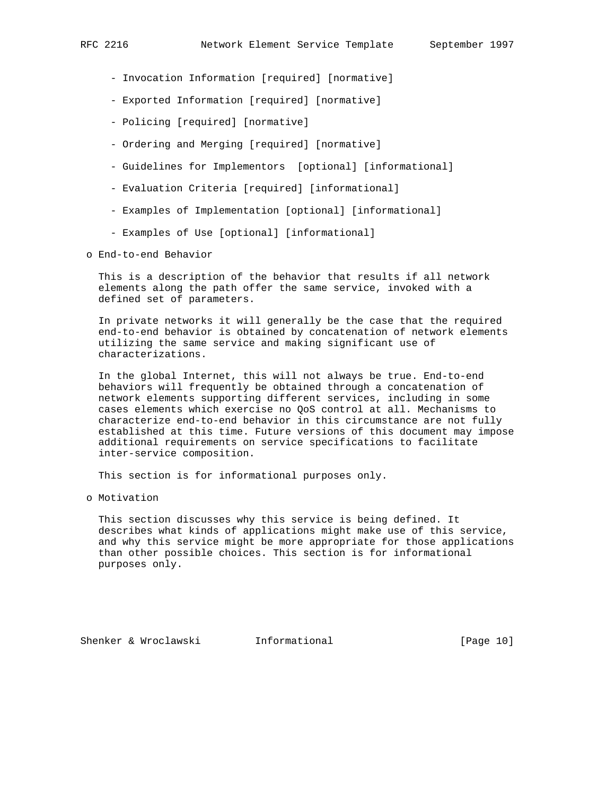- Invocation Information [required] [normative]
- Exported Information [required] [normative]
- Policing [required] [normative]
- Ordering and Merging [required] [normative]
- Guidelines for Implementors [optional] [informational]
- Evaluation Criteria [required] [informational]
- Examples of Implementation [optional] [informational]
- Examples of Use [optional] [informational]

o End-to-end Behavior

 This is a description of the behavior that results if all network elements along the path offer the same service, invoked with a defined set of parameters.

 In private networks it will generally be the case that the required end-to-end behavior is obtained by concatenation of network elements utilizing the same service and making significant use of characterizations.

 In the global Internet, this will not always be true. End-to-end behaviors will frequently be obtained through a concatenation of network elements supporting different services, including in some cases elements which exercise no QoS control at all. Mechanisms to characterize end-to-end behavior in this circumstance are not fully established at this time. Future versions of this document may impose additional requirements on service specifications to facilitate inter-service composition.

This section is for informational purposes only.

o Motivation

 This section discusses why this service is being defined. It describes what kinds of applications might make use of this service, and why this service might be more appropriate for those applications than other possible choices. This section is for informational purposes only.

Shenker & Wroclawski 1nformational [Page 10]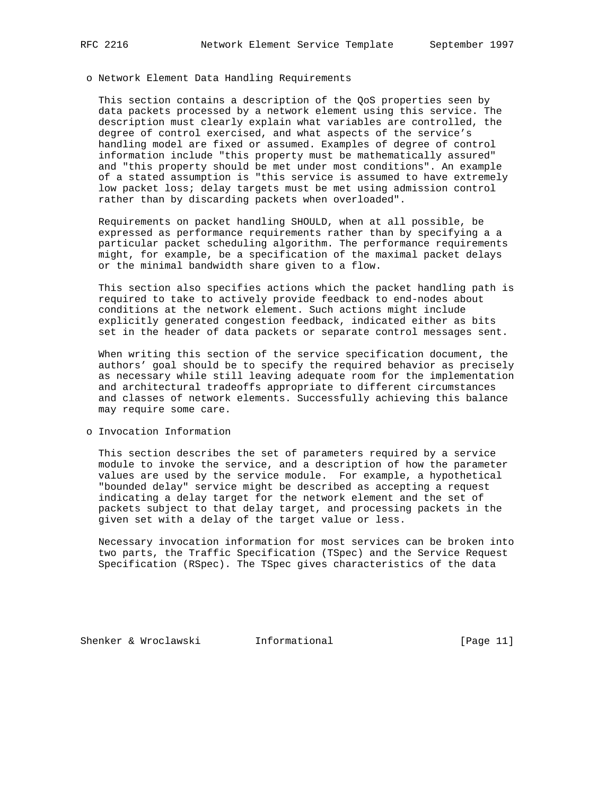### o Network Element Data Handling Requirements

 This section contains a description of the QoS properties seen by data packets processed by a network element using this service. The description must clearly explain what variables are controlled, the degree of control exercised, and what aspects of the service's handling model are fixed or assumed. Examples of degree of control information include "this property must be mathematically assured" and "this property should be met under most conditions". An example of a stated assumption is "this service is assumed to have extremely low packet loss; delay targets must be met using admission control rather than by discarding packets when overloaded".

 Requirements on packet handling SHOULD, when at all possible, be expressed as performance requirements rather than by specifying a a particular packet scheduling algorithm. The performance requirements might, for example, be a specification of the maximal packet delays or the minimal bandwidth share given to a flow.

 This section also specifies actions which the packet handling path is required to take to actively provide feedback to end-nodes about conditions at the network element. Such actions might include explicitly generated congestion feedback, indicated either as bits set in the header of data packets or separate control messages sent.

 When writing this section of the service specification document, the authors' goal should be to specify the required behavior as precisely as necessary while still leaving adequate room for the implementation and architectural tradeoffs appropriate to different circumstances and classes of network elements. Successfully achieving this balance may require some care.

#### o Invocation Information

 This section describes the set of parameters required by a service module to invoke the service, and a description of how the parameter values are used by the service module. For example, a hypothetical "bounded delay" service might be described as accepting a request indicating a delay target for the network element and the set of packets subject to that delay target, and processing packets in the given set with a delay of the target value or less.

 Necessary invocation information for most services can be broken into two parts, the Traffic Specification (TSpec) and the Service Request Specification (RSpec). The TSpec gives characteristics of the data

Shenker & Wroclawski 1nformational [Page 11]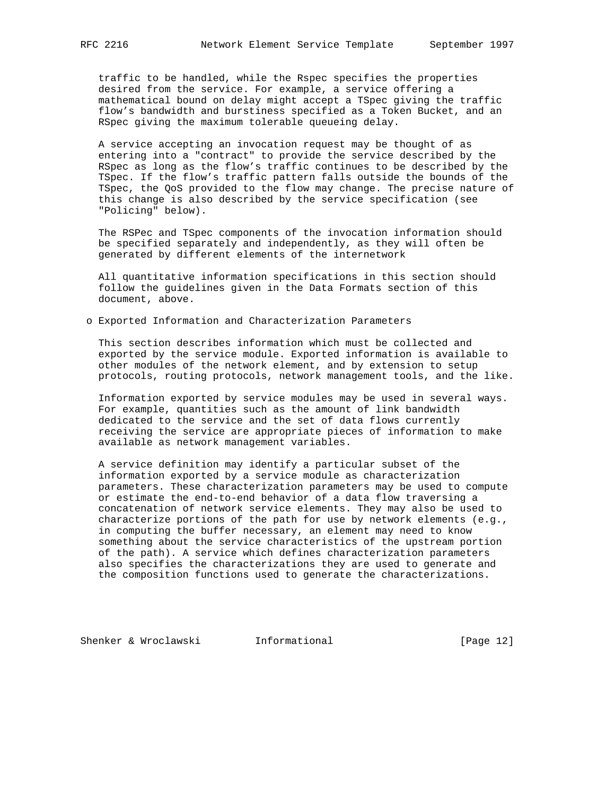traffic to be handled, while the Rspec specifies the properties desired from the service. For example, a service offering a mathematical bound on delay might accept a TSpec giving the traffic flow's bandwidth and burstiness specified as a Token Bucket, and an RSpec giving the maximum tolerable queueing delay.

 A service accepting an invocation request may be thought of as entering into a "contract" to provide the service described by the RSpec as long as the flow's traffic continues to be described by the TSpec. If the flow's traffic pattern falls outside the bounds of the TSpec, the QoS provided to the flow may change. The precise nature of this change is also described by the service specification (see "Policing" below).

 The RSPec and TSpec components of the invocation information should be specified separately and independently, as they will often be generated by different elements of the internetwork

 All quantitative information specifications in this section should follow the guidelines given in the Data Formats section of this document, above.

o Exported Information and Characterization Parameters

 This section describes information which must be collected and exported by the service module. Exported information is available to other modules of the network element, and by extension to setup protocols, routing protocols, network management tools, and the like.

 Information exported by service modules may be used in several ways. For example, quantities such as the amount of link bandwidth dedicated to the service and the set of data flows currently receiving the service are appropriate pieces of information to make available as network management variables.

 A service definition may identify a particular subset of the information exported by a service module as characterization parameters. These characterization parameters may be used to compute or estimate the end-to-end behavior of a data flow traversing a concatenation of network service elements. They may also be used to characterize portions of the path for use by network elements (e.g., in computing the buffer necessary, an element may need to know something about the service characteristics of the upstream portion of the path). A service which defines characterization parameters also specifies the characterizations they are used to generate and the composition functions used to generate the characterizations.

Shenker & Wroclawski 1nformational [Page 12]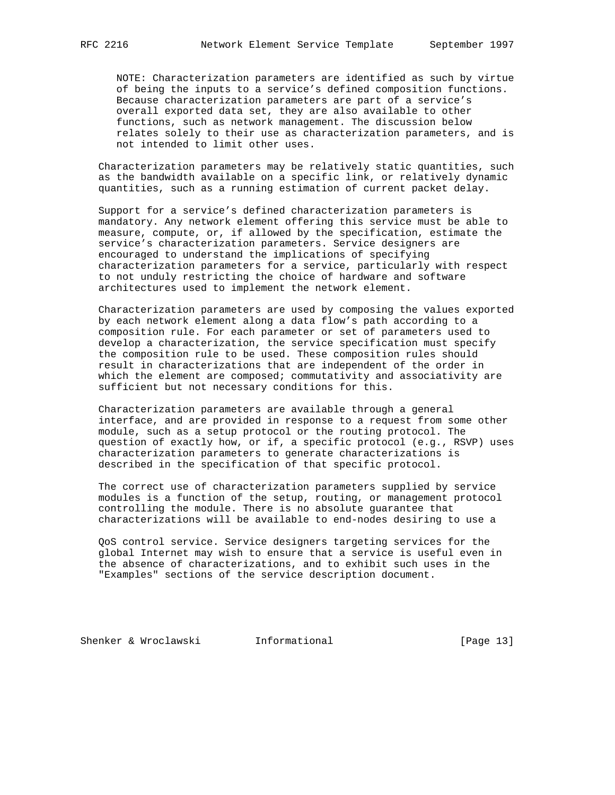NOTE: Characterization parameters are identified as such by virtue of being the inputs to a service's defined composition functions. Because characterization parameters are part of a service's overall exported data set, they are also available to other functions, such as network management. The discussion below relates solely to their use as characterization parameters, and is not intended to limit other uses.

 Characterization parameters may be relatively static quantities, such as the bandwidth available on a specific link, or relatively dynamic quantities, such as a running estimation of current packet delay.

 Support for a service's defined characterization parameters is mandatory. Any network element offering this service must be able to measure, compute, or, if allowed by the specification, estimate the service's characterization parameters. Service designers are encouraged to understand the implications of specifying characterization parameters for a service, particularly with respect to not unduly restricting the choice of hardware and software architectures used to implement the network element.

 Characterization parameters are used by composing the values exported by each network element along a data flow's path according to a composition rule. For each parameter or set of parameters used to develop a characterization, the service specification must specify the composition rule to be used. These composition rules should result in characterizations that are independent of the order in which the element are composed; commutativity and associativity are sufficient but not necessary conditions for this.

 Characterization parameters are available through a general interface, and are provided in response to a request from some other module, such as a setup protocol or the routing protocol. The question of exactly how, or if, a specific protocol (e.g., RSVP) uses characterization parameters to generate characterizations is described in the specification of that specific protocol.

 The correct use of characterization parameters supplied by service modules is a function of the setup, routing, or management protocol controlling the module. There is no absolute guarantee that characterizations will be available to end-nodes desiring to use a

 QoS control service. Service designers targeting services for the global Internet may wish to ensure that a service is useful even in the absence of characterizations, and to exhibit such uses in the "Examples" sections of the service description document.

Shenker & Wroclawski 1nformational [Page 13]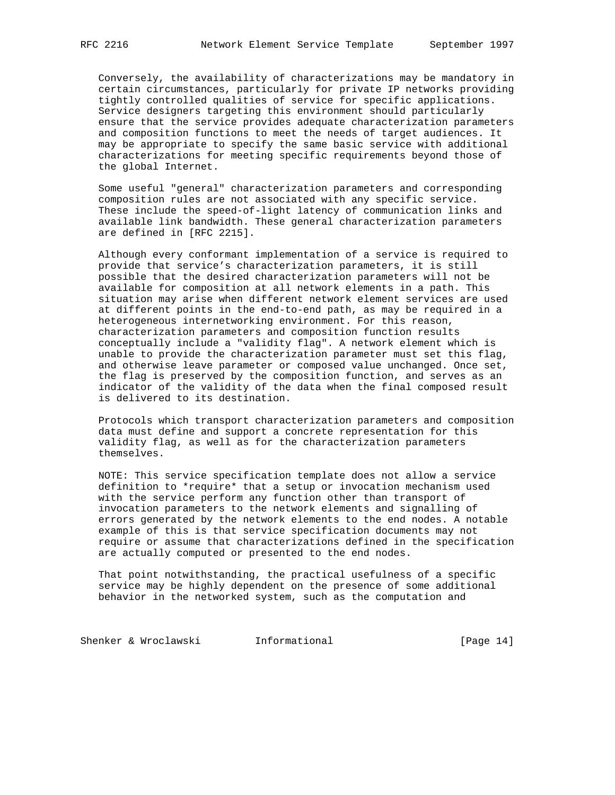Conversely, the availability of characterizations may be mandatory in certain circumstances, particularly for private IP networks providing tightly controlled qualities of service for specific applications. Service designers targeting this environment should particularly ensure that the service provides adequate characterization parameters and composition functions to meet the needs of target audiences. It may be appropriate to specify the same basic service with additional characterizations for meeting specific requirements beyond those of the global Internet.

 Some useful "general" characterization parameters and corresponding composition rules are not associated with any specific service. These include the speed-of-light latency of communication links and available link bandwidth. These general characterization parameters are defined in [RFC 2215].

 Although every conformant implementation of a service is required to provide that service's characterization parameters, it is still possible that the desired characterization parameters will not be available for composition at all network elements in a path. This situation may arise when different network element services are used at different points in the end-to-end path, as may be required in a heterogeneous internetworking environment. For this reason, characterization parameters and composition function results conceptually include a "validity flag". A network element which is unable to provide the characterization parameter must set this flag, and otherwise leave parameter or composed value unchanged. Once set, the flag is preserved by the composition function, and serves as an indicator of the validity of the data when the final composed result is delivered to its destination.

 Protocols which transport characterization parameters and composition data must define and support a concrete representation for this validity flag, as well as for the characterization parameters themselves.

 NOTE: This service specification template does not allow a service definition to \*require\* that a setup or invocation mechanism used with the service perform any function other than transport of invocation parameters to the network elements and signalling of errors generated by the network elements to the end nodes. A notable example of this is that service specification documents may not require or assume that characterizations defined in the specification are actually computed or presented to the end nodes.

 That point notwithstanding, the practical usefulness of a specific service may be highly dependent on the presence of some additional behavior in the networked system, such as the computation and

Shenker & Wroclawski **Informational** [Page 14]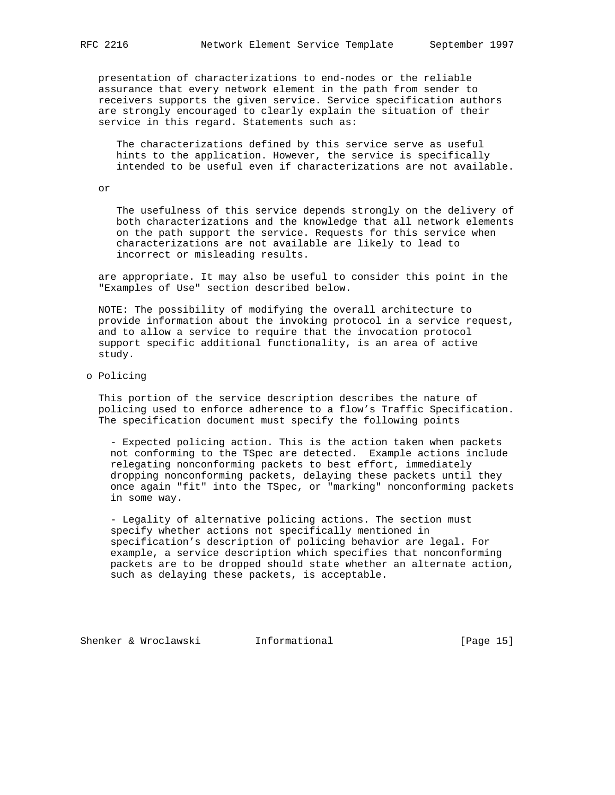presentation of characterizations to end-nodes or the reliable assurance that every network element in the path from sender to receivers supports the given service. Service specification authors are strongly encouraged to clearly explain the situation of their service in this regard. Statements such as:

 The characterizations defined by this service serve as useful hints to the application. However, the service is specifically intended to be useful even if characterizations are not available.

or

 The usefulness of this service depends strongly on the delivery of both characterizations and the knowledge that all network elements on the path support the service. Requests for this service when characterizations are not available are likely to lead to incorrect or misleading results.

 are appropriate. It may also be useful to consider this point in the "Examples of Use" section described below.

 NOTE: The possibility of modifying the overall architecture to provide information about the invoking protocol in a service request, and to allow a service to require that the invocation protocol support specific additional functionality, is an area of active study.

## o Policing

 This portion of the service description describes the nature of policing used to enforce adherence to a flow's Traffic Specification. The specification document must specify the following points

 - Expected policing action. This is the action taken when packets not conforming to the TSpec are detected. Example actions include relegating nonconforming packets to best effort, immediately dropping nonconforming packets, delaying these packets until they once again "fit" into the TSpec, or "marking" nonconforming packets in some way.

 - Legality of alternative policing actions. The section must specify whether actions not specifically mentioned in specification's description of policing behavior are legal. For example, a service description which specifies that nonconforming packets are to be dropped should state whether an alternate action, such as delaying these packets, is acceptable.

Shenker & Wroclawski 1nformational [Page 15]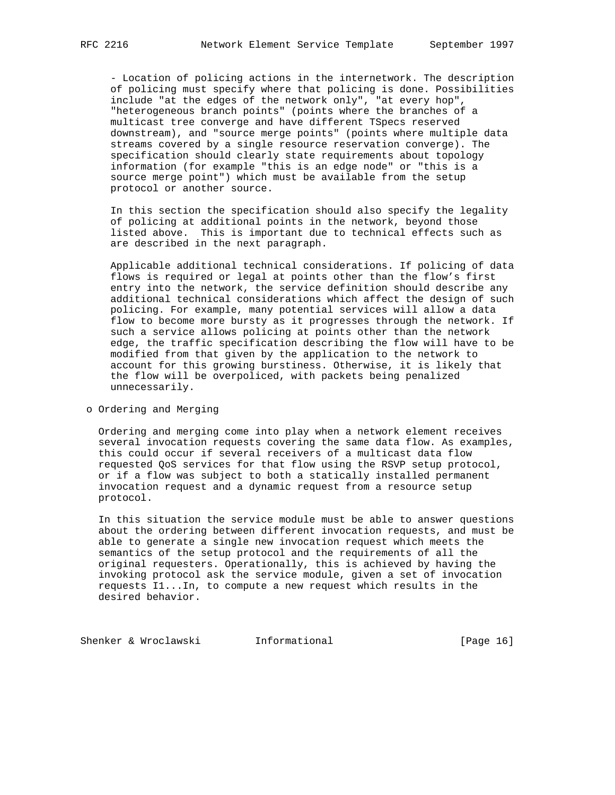- Location of policing actions in the internetwork. The description of policing must specify where that policing is done. Possibilities include "at the edges of the network only", "at every hop", "heterogeneous branch points" (points where the branches of a multicast tree converge and have different TSpecs reserved downstream), and "source merge points" (points where multiple data streams covered by a single resource reservation converge). The specification should clearly state requirements about topology information (for example "this is an edge node" or "this is a source merge point") which must be available from the setup protocol or another source.

 In this section the specification should also specify the legality of policing at additional points in the network, beyond those listed above. This is important due to technical effects such as are described in the next paragraph.

 Applicable additional technical considerations. If policing of data flows is required or legal at points other than the flow's first entry into the network, the service definition should describe any additional technical considerations which affect the design of such policing. For example, many potential services will allow a data flow to become more bursty as it progresses through the network. If such a service allows policing at points other than the network edge, the traffic specification describing the flow will have to be modified from that given by the application to the network to account for this growing burstiness. Otherwise, it is likely that the flow will be overpoliced, with packets being penalized unnecessarily.

o Ordering and Merging

 Ordering and merging come into play when a network element receives several invocation requests covering the same data flow. As examples, this could occur if several receivers of a multicast data flow requested QoS services for that flow using the RSVP setup protocol, or if a flow was subject to both a statically installed permanent invocation request and a dynamic request from a resource setup protocol.

 In this situation the service module must be able to answer questions about the ordering between different invocation requests, and must be able to generate a single new invocation request which meets the semantics of the setup protocol and the requirements of all the original requesters. Operationally, this is achieved by having the invoking protocol ask the service module, given a set of invocation requests I1...In, to compute a new request which results in the desired behavior.

Shenker & Wroclawski **Informational** [Page 16]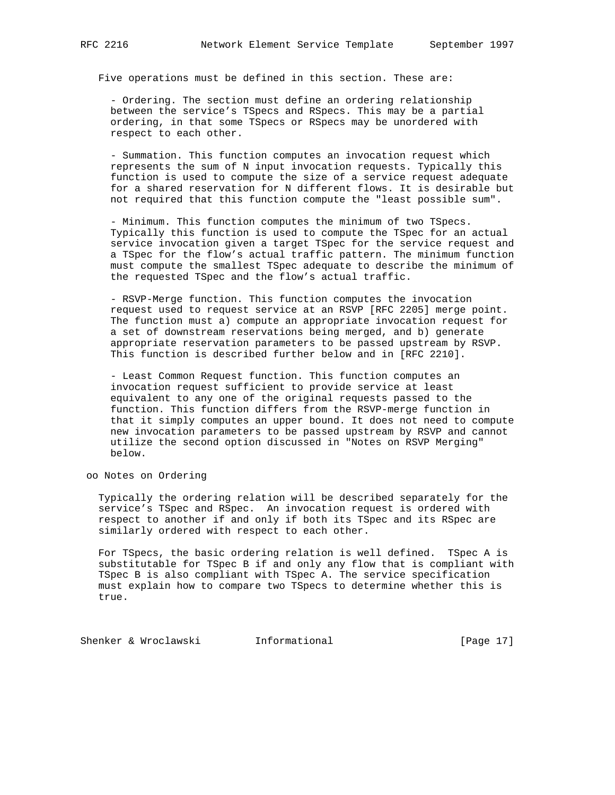Five operations must be defined in this section. These are:

 - Ordering. The section must define an ordering relationship between the service's TSpecs and RSpecs. This may be a partial ordering, in that some TSpecs or RSpecs may be unordered with respect to each other.

 - Summation. This function computes an invocation request which represents the sum of N input invocation requests. Typically this function is used to compute the size of a service request adequate for a shared reservation for N different flows. It is desirable but not required that this function compute the "least possible sum".

 - Minimum. This function computes the minimum of two TSpecs. Typically this function is used to compute the TSpec for an actual service invocation given a target TSpec for the service request and a TSpec for the flow's actual traffic pattern. The minimum function must compute the smallest TSpec adequate to describe the minimum of the requested TSpec and the flow's actual traffic.

 - RSVP-Merge function. This function computes the invocation request used to request service at an RSVP [RFC 2205] merge point. The function must a) compute an appropriate invocation request for a set of downstream reservations being merged, and b) generate appropriate reservation parameters to be passed upstream by RSVP. This function is described further below and in [RFC 2210].

 - Least Common Request function. This function computes an invocation request sufficient to provide service at least equivalent to any one of the original requests passed to the function. This function differs from the RSVP-merge function in that it simply computes an upper bound. It does not need to compute new invocation parameters to be passed upstream by RSVP and cannot utilize the second option discussed in "Notes on RSVP Merging" below.

oo Notes on Ordering

 Typically the ordering relation will be described separately for the service's TSpec and RSpec. An invocation request is ordered with respect to another if and only if both its TSpec and its RSpec are similarly ordered with respect to each other.

 For TSpecs, the basic ordering relation is well defined. TSpec A is substitutable for TSpec B if and only any flow that is compliant with TSpec B is also compliant with TSpec A. The service specification must explain how to compare two TSpecs to determine whether this is true.

Shenker & Wroclawski **Informational** [Page 17]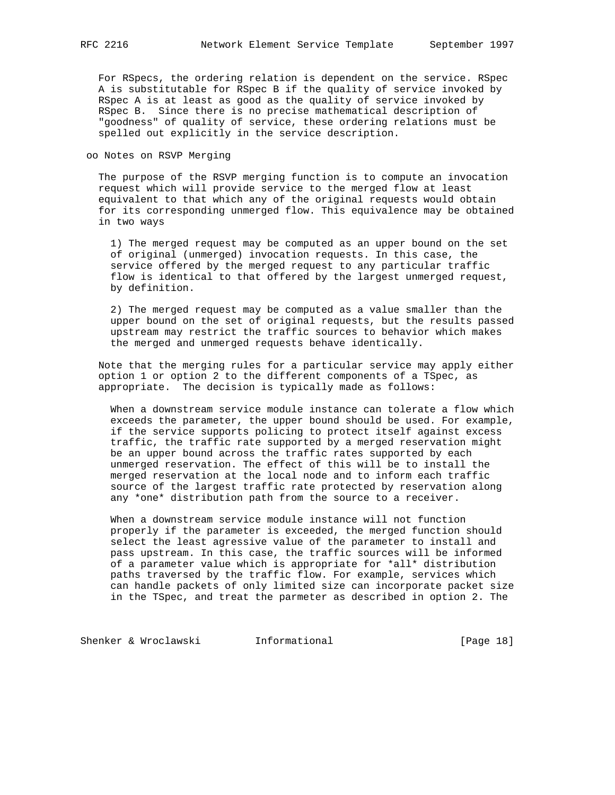For RSpecs, the ordering relation is dependent on the service. RSpec A is substitutable for RSpec B if the quality of service invoked by RSpec A is at least as good as the quality of service invoked by RSpec B. Since there is no precise mathematical description of "goodness" of quality of service, these ordering relations must be spelled out explicitly in the service description.

oo Notes on RSVP Merging

 The purpose of the RSVP merging function is to compute an invocation request which will provide service to the merged flow at least equivalent to that which any of the original requests would obtain for its corresponding unmerged flow. This equivalence may be obtained in two ways

 1) The merged request may be computed as an upper bound on the set of original (unmerged) invocation requests. In this case, the service offered by the merged request to any particular traffic flow is identical to that offered by the largest unmerged request, by definition.

 2) The merged request may be computed as a value smaller than the upper bound on the set of original requests, but the results passed upstream may restrict the traffic sources to behavior which makes the merged and unmerged requests behave identically.

 Note that the merging rules for a particular service may apply either option 1 or option 2 to the different components of a TSpec, as appropriate. The decision is typically made as follows:

 When a downstream service module instance can tolerate a flow which exceeds the parameter, the upper bound should be used. For example, if the service supports policing to protect itself against excess traffic, the traffic rate supported by a merged reservation might be an upper bound across the traffic rates supported by each unmerged reservation. The effect of this will be to install the merged reservation at the local node and to inform each traffic source of the largest traffic rate protected by reservation along any \*one\* distribution path from the source to a receiver.

 When a downstream service module instance will not function properly if the parameter is exceeded, the merged function should select the least agressive value of the parameter to install and pass upstream. In this case, the traffic sources will be informed of a parameter value which is appropriate for \*all\* distribution paths traversed by the traffic flow. For example, services which can handle packets of only limited size can incorporate packet size in the TSpec, and treat the parmeter as described in option 2. The

Shenker & Wroclawski **Informational** [Page 18]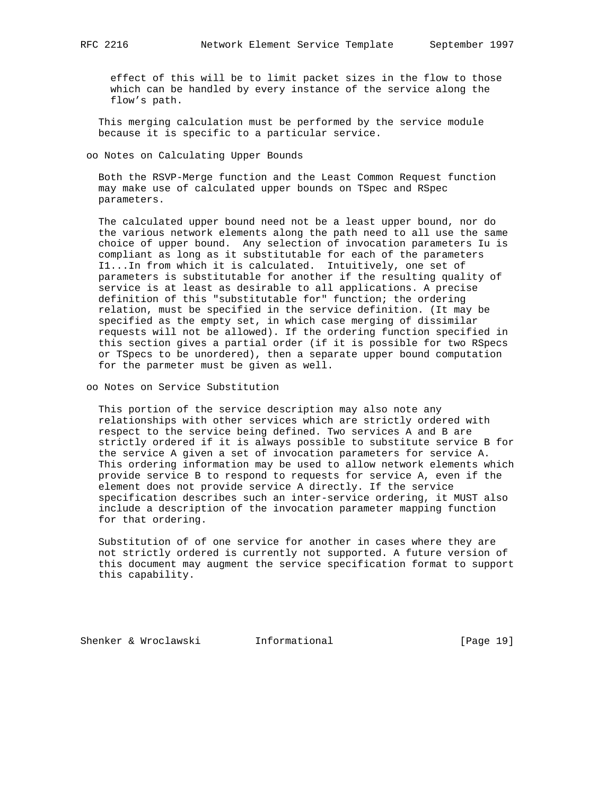effect of this will be to limit packet sizes in the flow to those which can be handled by every instance of the service along the flow's path.

 This merging calculation must be performed by the service module because it is specific to a particular service.

oo Notes on Calculating Upper Bounds

 Both the RSVP-Merge function and the Least Common Request function may make use of calculated upper bounds on TSpec and RSpec parameters.

 The calculated upper bound need not be a least upper bound, nor do the various network elements along the path need to all use the same choice of upper bound. Any selection of invocation parameters Iu is compliant as long as it substitutable for each of the parameters I1...In from which it is calculated. Intuitively, one set of parameters is substitutable for another if the resulting quality of service is at least as desirable to all applications. A precise definition of this "substitutable for" function; the ordering relation, must be specified in the service definition. (It may be specified as the empty set, in which case merging of dissimilar requests will not be allowed). If the ordering function specified in this section gives a partial order (if it is possible for two RSpecs or TSpecs to be unordered), then a separate upper bound computation for the parmeter must be given as well.

oo Notes on Service Substitution

 This portion of the service description may also note any relationships with other services which are strictly ordered with respect to the service being defined. Two services A and B are strictly ordered if it is always possible to substitute service B for the service A given a set of invocation parameters for service A. This ordering information may be used to allow network elements which provide service B to respond to requests for service A, even if the element does not provide service A directly. If the service specification describes such an inter-service ordering, it MUST also include a description of the invocation parameter mapping function for that ordering.

 Substitution of of one service for another in cases where they are not strictly ordered is currently not supported. A future version of this document may augment the service specification format to support this capability.

Shenker & Wroclawski **Informational** [Page 19]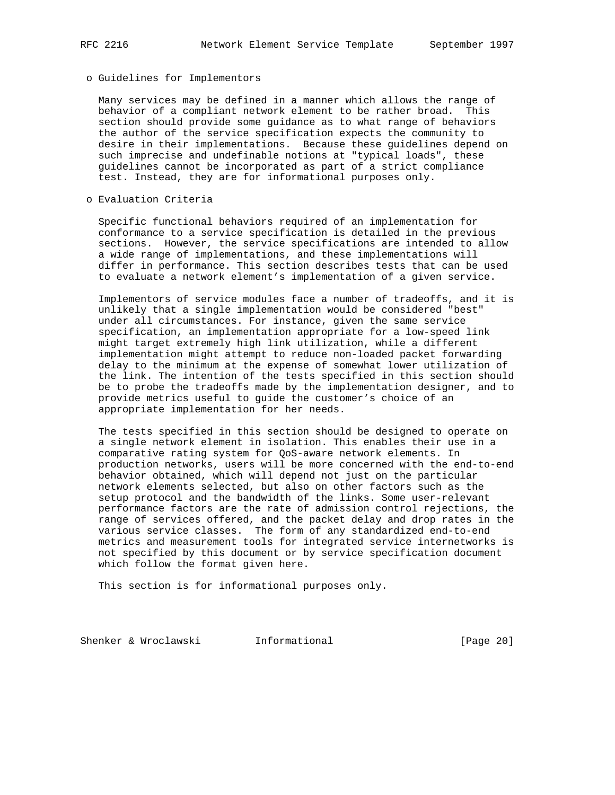## o Guidelines for Implementors

 Many services may be defined in a manner which allows the range of behavior of a compliant network element to be rather broad. This section should provide some guidance as to what range of behaviors the author of the service specification expects the community to desire in their implementations. Because these guidelines depend on such imprecise and undefinable notions at "typical loads", these guidelines cannot be incorporated as part of a strict compliance test. Instead, they are for informational purposes only.

# o Evaluation Criteria

 Specific functional behaviors required of an implementation for conformance to a service specification is detailed in the previous sections. However, the service specifications are intended to allow a wide range of implementations, and these implementations will differ in performance. This section describes tests that can be used to evaluate a network element's implementation of a given service.

 Implementors of service modules face a number of tradeoffs, and it is unlikely that a single implementation would be considered "best" under all circumstances. For instance, given the same service specification, an implementation appropriate for a low-speed link might target extremely high link utilization, while a different implementation might attempt to reduce non-loaded packet forwarding delay to the minimum at the expense of somewhat lower utilization of the link. The intention of the tests specified in this section should be to probe the tradeoffs made by the implementation designer, and to provide metrics useful to guide the customer's choice of an appropriate implementation for her needs.

 The tests specified in this section should be designed to operate on a single network element in isolation. This enables their use in a comparative rating system for QoS-aware network elements. In production networks, users will be more concerned with the end-to-end behavior obtained, which will depend not just on the particular network elements selected, but also on other factors such as the setup protocol and the bandwidth of the links. Some user-relevant performance factors are the rate of admission control rejections, the range of services offered, and the packet delay and drop rates in the various service classes. The form of any standardized end-to-end metrics and measurement tools for integrated service internetworks is not specified by this document or by service specification document which follow the format given here.

This section is for informational purposes only.

Shenker & Wroclawski **Informational** [Page 20]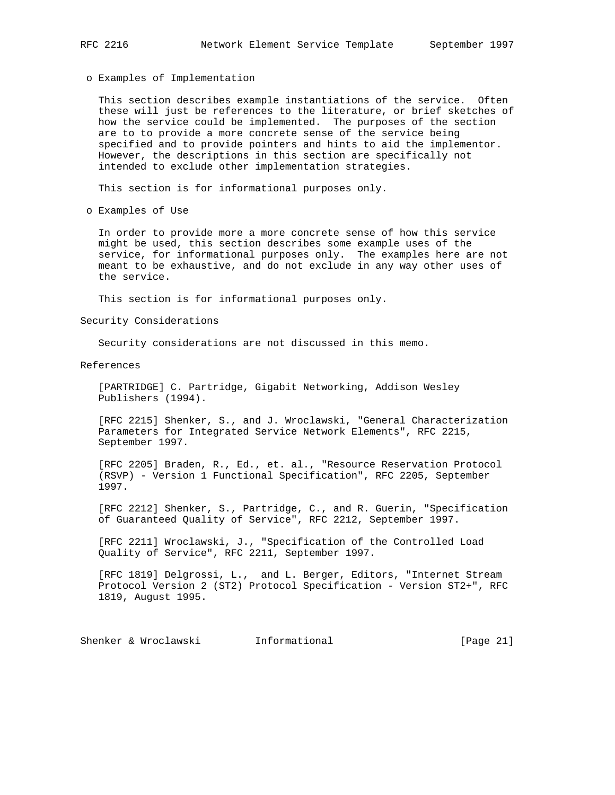o Examples of Implementation

 This section describes example instantiations of the service. Often these will just be references to the literature, or brief sketches of how the service could be implemented. The purposes of the section are to to provide a more concrete sense of the service being specified and to provide pointers and hints to aid the implementor. However, the descriptions in this section are specifically not intended to exclude other implementation strategies.

This section is for informational purposes only.

o Examples of Use

 In order to provide more a more concrete sense of how this service might be used, this section describes some example uses of the service, for informational purposes only. The examples here are not meant to be exhaustive, and do not exclude in any way other uses of the service.

This section is for informational purposes only.

Security Considerations

Security considerations are not discussed in this memo.

References

 [PARTRIDGE] C. Partridge, Gigabit Networking, Addison Wesley Publishers (1994).

 [RFC 2215] Shenker, S., and J. Wroclawski, "General Characterization Parameters for Integrated Service Network Elements", RFC 2215, September 1997.

 [RFC 2205] Braden, R., Ed., et. al., "Resource Reservation Protocol (RSVP) - Version 1 Functional Specification", RFC 2205, September 1997.

 [RFC 2212] Shenker, S., Partridge, C., and R. Guerin, "Specification of Guaranteed Quality of Service", RFC 2212, September 1997.

 [RFC 2211] Wroclawski, J., "Specification of the Controlled Load Quality of Service", RFC 2211, September 1997.

 [RFC 1819] Delgrossi, L., and L. Berger, Editors, "Internet Stream Protocol Version 2 (ST2) Protocol Specification - Version ST2+", RFC 1819, August 1995.

Shenker & Wroclawski 1nformational [Page 21]